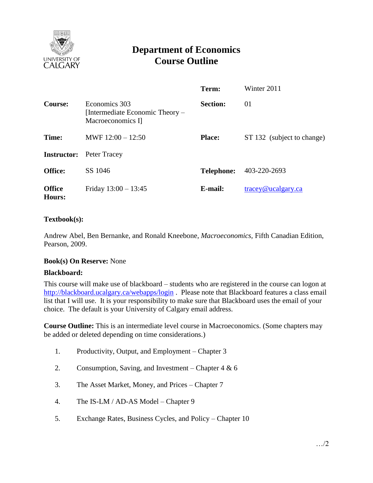

# **Department of Economics Course Outline**

|                         |                                                                       | Term:             | Winter 2011                |  |
|-------------------------|-----------------------------------------------------------------------|-------------------|----------------------------|--|
| <b>Course:</b>          | Economics 303<br>[Intermediate Economic Theory –<br>Macroeconomics I] | <b>Section:</b>   | 01                         |  |
| Time:                   | MWF $12:00 - 12:50$                                                   | <b>Place:</b>     | ST 132 (subject to change) |  |
| <b>Instructor:</b>      | Peter Tracey                                                          |                   |                            |  |
| <b>Office:</b>          | SS 1046                                                               | <b>Telephone:</b> | 403-220-2693               |  |
| <b>Office</b><br>Hours: | Friday $13:00 - 13:45$                                                | E-mail:           | $trace\varphi$ ucalgary.ca |  |

# **Textbook(s):**

Andrew Abel, Ben Bernanke, and Ronald Kneebone, *Macroeconomics,* Fifth Canadian Edition, Pearson, 2009.

# **Book(s) On Reserve:** None

#### **Blackboard:**

This course will make use of blackboard – students who are registered in the course can logon at <http://blackboard.ucalgary.ca/webapps/login>. Please note that Blackboard features a class email list that I will use. It is your responsibility to make sure that Blackboard uses the email of your choice. The default is your University of Calgary email address.

**Course Outline:** This is an intermediate level course in Macroeconomics. (Some chapters may be added or deleted depending on time considerations.)

- 1. Productivity, Output, and Employment Chapter 3
- 2. Consumption, Saving, and Investment Chapter 4 & 6
- 3. The Asset Market, Money, and Prices Chapter 7
- 4. The IS-LM / AD-AS Model Chapter 9
- 5. Exchange Rates, Business Cycles, and Policy Chapter 10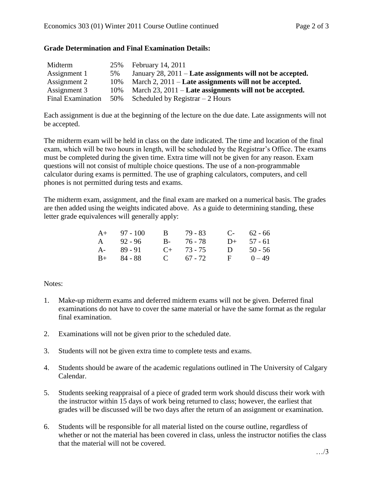# **Grade Determination and Final Examination Details:**

| Midterm                  | 25% | February 14, 2011                                            |
|--------------------------|-----|--------------------------------------------------------------|
| Assignment 1             | 5%  | January 28, $2011$ – Late assignments will not be accepted.  |
| Assignment 2             | 10% | March $2, 2011$ – Late assignments will not be accepted.     |
| Assignment 3             | 10% | March $23$ , $2011$ – Late assignments will not be accepted. |
| <b>Final Examination</b> | 50% | Scheduled by Registrar $-2$ Hours                            |

Each assignment is due at the beginning of the lecture on the due date. Late assignments will not be accepted.

The midterm exam will be held in class on the date indicated. The time and location of the final exam, which will be two hours in length, will be scheduled by the Registrar's Office. The exams must be completed during the given time. Extra time will not be given for any reason. Exam questions will not consist of multiple choice questions. The use of a non-programmable calculator during exams is permitted. The use of graphing calculators, computers, and cell phones is not permitted during tests and exams.

The midterm exam, assignment, and the final exam are marked on a numerical basis. The grades are then added using the weights indicated above. As a guide to determining standing, these letter grade equivalences will generally apply:

| $A+ 97 - 100$ | B 79 - 83       |              | $C-$ 62 - 66 |
|---------------|-----------------|--------------|--------------|
| $A = 92 - 96$ | B- 76-78        | $D+$         | 57 - 61      |
| A- 89-91      | $C_{+}$ 73 - 75 | $\mathbf{D}$ | $50 - 56$    |
| $B+ 84 - 88$  | $C = 67 - 72$   | $\mathbf{F}$ | $0 - 49$     |

# Notes:

- 1. Make-up midterm exams and deferred midterm exams will not be given. Deferred final examinations do not have to cover the same material or have the same format as the regular final examination.
- 2. Examinations will not be given prior to the scheduled date.
- 3. Students will not be given extra time to complete tests and exams.
- 4. Students should be aware of the academic regulations outlined in The University of Calgary Calendar.
- 5. Students seeking reappraisal of a piece of graded term work should discuss their work with the instructor within 15 days of work being returned to class; however, the earliest that grades will be discussed will be two days after the return of an assignment or examination.
- 6. Students will be responsible for all material listed on the course outline, regardless of whether or not the material has been covered in class, unless the instructor notifies the class that the material will not be covered.